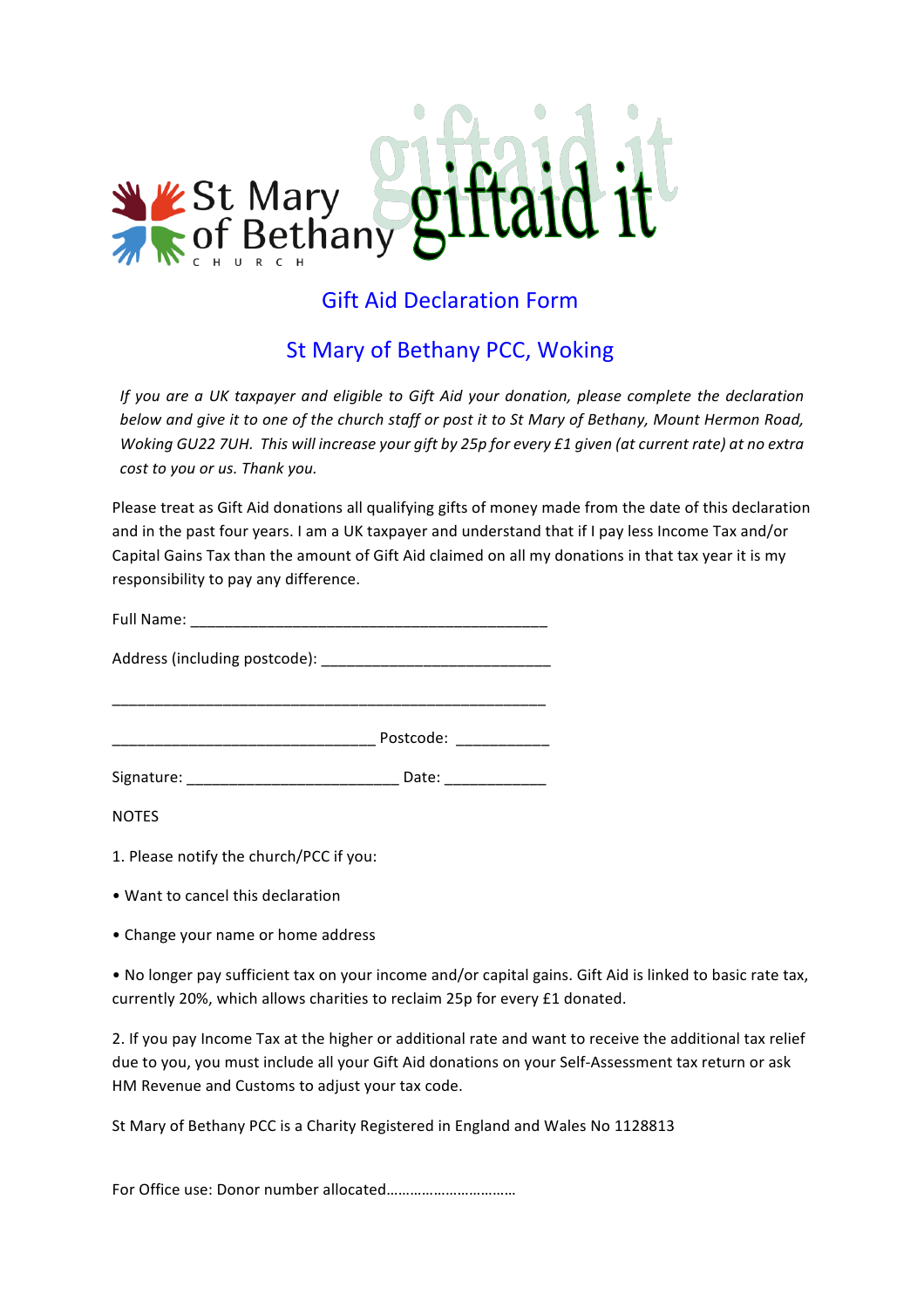

# **Gift Aid Declaration Form**

## St Mary of Bethany PCC, Woking

*If* you are a UK taxpayer and eligible to Gift Aid your donation, please complete the declaration *below and give it to one of the church staff or post it to St Mary of Bethany, Mount Hermon Road, Woking GU22 7UH. This will increase your gift by 25p for every £1 given (at current rate) at no extra cost to you or us. Thank you.* 

Please treat as Gift Aid donations all qualifying gifts of money made from the date of this declaration and in the past four years. I am a UK taxpayer and understand that if I pay less Income Tax and/or Capital Gains Tax than the amount of Gift Aid claimed on all my donations in that tax year it is my responsibility to pay any difference.

|            | Postcode: ____________ |  |
|------------|------------------------|--|
| Signature: | Date:                  |  |

NOTES

- 1. Please notify the church/PCC if you:
- Want to cancel this declaration
- Change your name or home address

• No longer pay sufficient tax on your income and/or capital gains. Gift Aid is linked to basic rate tax, currently 20%, which allows charities to reclaim 25p for every £1 donated.

2. If you pay Income Tax at the higher or additional rate and want to receive the additional tax relief due to you, you must include all your Gift Aid donations on your Self-Assessment tax return or ask HM Revenue and Customs to adjust your tax code.

St Mary of Bethany PCC is a Charity Registered in England and Wales No 1128813

For Office use: Donor number allocated………………………………………